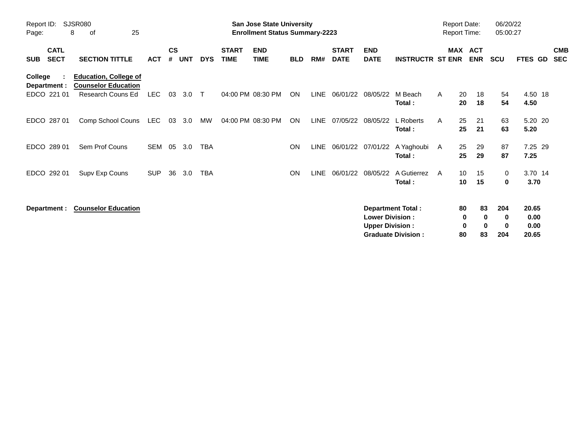| Report ID:<br>Page:                      | SJSR080<br>25<br>8<br>οf                                                        |            |                    |            |            |                             | <b>San Jose State University</b><br><b>Enrollment Status Summary-2223</b> |            |             |                             |                                                  |                                                       | <b>Report Date:</b><br><b>Report Time:</b> |                    |                                  | 06/20/22<br>05:00:27        |                                |                          |
|------------------------------------------|---------------------------------------------------------------------------------|------------|--------------------|------------|------------|-----------------------------|---------------------------------------------------------------------------|------------|-------------|-----------------------------|--------------------------------------------------|-------------------------------------------------------|--------------------------------------------|--------------------|----------------------------------|-----------------------------|--------------------------------|--------------------------|
| <b>CATL</b><br><b>SECT</b><br><b>SUB</b> | <b>SECTION TITTLE</b>                                                           | <b>ACT</b> | $\mathsf{cs}$<br># | <b>UNT</b> | <b>DYS</b> | <b>START</b><br><b>TIME</b> | <b>END</b><br><b>TIME</b>                                                 | <b>BLD</b> | RM#         | <b>START</b><br><b>DATE</b> | <b>END</b><br><b>DATE</b>                        | <b>INSTRUCTR ST ENR</b>                               | MAX                                        |                    | <b>ACT</b><br><b>ENR</b>         | <b>SCU</b>                  | FTES GD                        | <b>CMB</b><br><b>SEC</b> |
| College<br>Department :<br>EDCO 221 01   | <b>Education, College of</b><br><b>Counselor Education</b><br>Research Couns Ed | <b>LEC</b> | 03                 | 3.0        | $\top$     |                             | 04:00 PM 08:30 PM                                                         | ON         | LINE        | 06/01/22                    | 08/05/22                                         | M Beach<br>Total:                                     | A                                          | 20<br>20           | 18<br>18                         | 54<br>54                    | 4.50 18<br>4.50                |                          |
| EDCO 287 01                              | Comp School Couns                                                               | LEC        | 03                 | 3.0        | MW         |                             | 04:00 PM 08:30 PM                                                         | ON         | <b>LINE</b> | 07/05/22                    | 08/05/22                                         | L Roberts<br>Total:                                   | A                                          | 25<br>25           | 21<br>21                         | 63<br>63                    | 5.20 20<br>5.20                |                          |
| EDCO 289 01                              | Sem Prof Couns                                                                  | <b>SEM</b> | 05                 | 3.0        | <b>TBA</b> |                             |                                                                           | <b>ON</b>  |             |                             | LINE 06/01/22 07/01/22                           | A Yaghoubi<br>Total:                                  | A                                          | 25<br>25           | 29<br>29                         | 87<br>87                    | 7.25 29<br>7.25                |                          |
| EDCO 292 01                              | Supv Exp Couns                                                                  | <b>SUP</b> | 36                 | 3.0        | <b>TBA</b> |                             |                                                                           | <b>ON</b>  | <b>LINE</b> | 06/01/22                    | 08/05/22                                         | A Gutierrez<br>Total:                                 | A                                          | 10<br>10           | 15<br>15                         | 0<br>0                      | 3.70 14<br>3.70                |                          |
| Department :                             | <b>Counselor Education</b>                                                      |            |                    |            |            |                             |                                                                           |            |             |                             | <b>Lower Division:</b><br><b>Upper Division:</b> | <b>Department Total:</b><br><b>Graduate Division:</b> |                                            | 80<br>0<br>0<br>80 | 83<br>$\bf{0}$<br>$\bf{0}$<br>83 | 204<br>0<br>$\bf{0}$<br>204 | 20.65<br>0.00<br>0.00<br>20.65 |                          |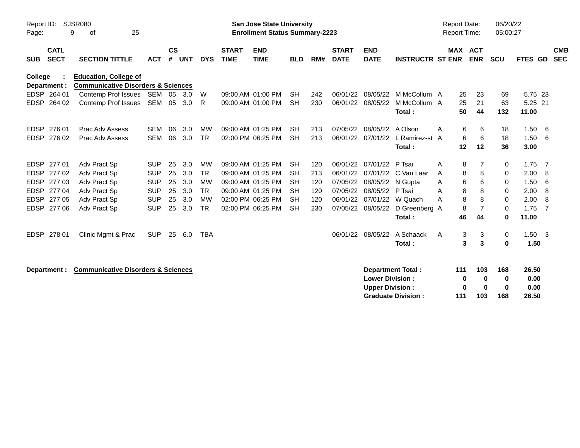| Report ID:<br>SJSR080<br>9<br>25<br>of<br>Page:                                                                 |                                                         | <b>San Jose State University</b><br><b>Enrollment Status Summary-2223</b> |                                                          | <b>Report Date:</b><br><b>Report Time:</b> |                                            | 06/20/22<br>05:00:27                       |
|-----------------------------------------------------------------------------------------------------------------|---------------------------------------------------------|---------------------------------------------------------------------------|----------------------------------------------------------|--------------------------------------------|--------------------------------------------|--------------------------------------------|
| $\mathsf{cs}$<br><b>CATL</b><br><b>SECT</b><br><b>SECTION TITTLE</b><br><b>ACT</b><br>#<br><b>SUB</b>           | <b>START</b><br><b>TIME</b><br><b>UNT</b><br><b>DYS</b> | <b>END</b><br><b>TIME</b><br><b>BLD</b><br>RM#                            | <b>START</b><br><b>END</b><br><b>DATE</b><br><b>DATE</b> | <b>INSTRUCTR ST ENR</b>                    | <b>MAX ACT</b><br><b>ENR</b><br><b>SCU</b> | <b>CMB</b><br><b>SEC</b><br><b>FTES GD</b> |
| <b>Education, College of</b><br><b>College</b><br><b>Communicative Disorders &amp; Sciences</b><br>Department : |                                                         |                                                                           |                                                          |                                            |                                            |                                            |
| EDSP 264 01<br>Contemp Prof Issues SEM<br>05                                                                    | W<br>3.0                                                | 09:00 AM 01:00 PM<br><b>SH</b><br>242                                     | 06/01/22<br>08/05/22                                     | M McCollum A<br>25                         | 23<br>69                                   | 5.75 23                                    |
| <b>EDSP</b><br>Contemp Prof Issues<br>SEM 05<br>264 02                                                          | 3.0<br>R                                                | 09:00 AM 01:00 PM<br><b>SH</b><br>230                                     | 06/01/22<br>08/05/22                                     | M McCollum A<br>25                         | 21<br>63                                   | 5.25 21                                    |
|                                                                                                                 |                                                         |                                                                           |                                                          | 50<br>Total:                               | 44<br>132                                  | 11.00                                      |
| 276 01<br><b>EDSP</b><br>Prac Adv Assess<br><b>SEM</b><br>06                                                    | 3.0<br>MW                                               | 09:00 AM 01:25 PM<br><b>SH</b><br>213                                     | 07/05/22<br>08/05/22                                     | A Olson<br>A                               | 6<br>6<br>18                               | 1.50<br>-6                                 |
| <b>SEM</b><br>06<br><b>EDSP</b><br>276 02<br>Prac Adv Assess                                                    | 3.0<br><b>TR</b>                                        | 02:00 PM 06:25 PM<br>213<br><b>SH</b>                                     | 06/01/22<br>07/01/22                                     | L Ramirez-st A                             | 6<br>6<br>18                               | 1.50<br>- 6                                |
|                                                                                                                 |                                                         |                                                                           |                                                          | Total:<br>12                               | 12<br>36                                   | 3.00                                       |
| EDSP<br>277 01<br>Adv Pract Sp<br><b>SUP</b><br>25                                                              | 3.0<br><b>MW</b>                                        | 09:00 AM 01:25 PM<br><b>SH</b><br>120                                     | 06/01/22<br>07/01/22                                     | P Tsai<br>A                                | 8<br>7                                     | 0<br>1.75<br>- 7                           |
| 25<br><b>EDSP</b><br>27702<br>Adv Pract Sp<br><b>SUP</b>                                                        | 3.0<br><b>TR</b>                                        | 09:00 AM 01:25 PM<br><b>SH</b><br>213                                     | 06/01/22<br>07/01/22                                     | C Van Laar<br>A                            | 8<br>8<br>0                                | 2.00<br>-8                                 |
| 277 03<br><b>SUP</b><br><b>EDSP</b><br>Adv Pract Sp<br>25                                                       | 3.0<br>MW                                               | 09:00 AM 01:25 PM<br><b>SH</b><br>120                                     | 08/05/22<br>07/05/22                                     | N Gupta<br>Α                               | 6<br>6<br>0                                | 1.50<br>6                                  |
| <b>EDSP</b><br>277 04<br>Adv Pract Sp<br><b>SUP</b><br>25                                                       | 3.0<br><b>TR</b>                                        | 09:00 AM 01:25 PM<br>120<br><b>SH</b>                                     | 08/05/22<br>07/05/22                                     | P Tsai<br>А                                | 8<br>8<br>0                                | 2.00<br>-8                                 |
| <b>EDSP</b><br>27705<br>25<br><b>SUP</b><br>Adv Pract Sp                                                        | 3.0<br><b>MW</b>                                        | 02:00 PM 06:25 PM<br><b>SH</b><br>120                                     | 06/01/22                                                 | 07/01/22 W Quach<br>A                      | 8<br>8                                     | 2.00<br>0<br>-8                            |
| 27706<br><b>SUP</b><br>EDSP<br>Adv Pract Sp<br>25                                                               | <b>TR</b><br>3.0                                        | 02:00 PM 06:25 PM<br><b>SH</b><br>230                                     | 07/05/22<br>08/05/22                                     | D Greenberg A                              | $\overline{7}$<br>8<br>0                   | 1.75<br>-7                                 |
|                                                                                                                 |                                                         |                                                                           |                                                          | Total:<br>46                               | 44                                         | 11.00<br>0                                 |
| 278 01<br><b>EDSP</b><br>Clinic Mgmt & Prac<br><b>SUP</b><br>25                                                 | 6.0<br><b>TBA</b>                                       |                                                                           | 06/01/22<br>08/05/22                                     | A Schaack<br>A                             | 3<br>3                                     | $1.50 \quad 3$<br>0                        |
|                                                                                                                 |                                                         |                                                                           |                                                          | Total:                                     | 3<br>3<br>0                                | 1.50                                       |
|                                                                                                                 |                                                         |                                                                           |                                                          |                                            |                                            |                                            |
| <b>Communicative Disorders &amp; Sciences</b><br>Department :                                                   |                                                         |                                                                           |                                                          | <b>Department Total:</b><br>111            | 103<br>168                                 | 26.50                                      |
|                                                                                                                 |                                                         |                                                                           | <b>Lower Division:</b>                                   |                                            | 0<br>0<br>0<br>$\bf{0}$<br>0               | 0.00<br>0.00                               |
|                                                                                                                 |                                                         |                                                                           | <b>Upper Division:</b>                                   | <b>Graduate Division:</b><br>111           | 0<br>103<br>168                            | 26.50                                      |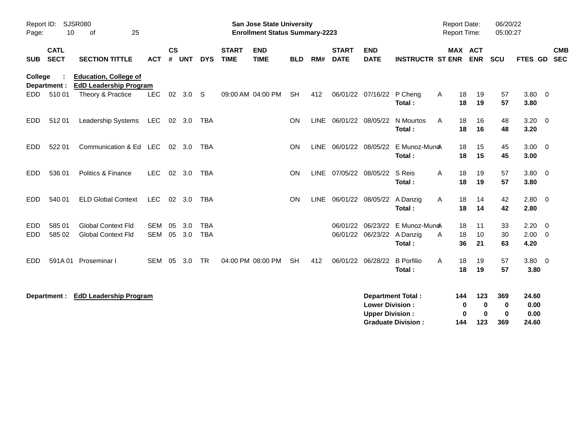| SJSR080<br>Report ID:<br>10<br>25<br>of<br>Page: |                            |                                                               |                          |               |                |                          | <b>San Jose State University</b><br><b>Enrollment Status Summary-2223</b> |                           |            |     |                             |                                                  | <b>Report Date:</b><br><b>Report Time:</b> |               | 06/20/22<br>05:00:27           |                                |                        |                          |
|--------------------------------------------------|----------------------------|---------------------------------------------------------------|--------------------------|---------------|----------------|--------------------------|---------------------------------------------------------------------------|---------------------------|------------|-----|-----------------------------|--------------------------------------------------|--------------------------------------------|---------------|--------------------------------|--------------------------------|------------------------|--------------------------|
| <b>SUB</b>                                       | <b>CATL</b><br><b>SECT</b> | <b>SECTION TITTLE</b>                                         | <b>ACT</b>               | $\mathsf{cs}$ | # UNT          | <b>DYS</b>               | <b>START</b><br><b>TIME</b>                                               | <b>END</b><br><b>TIME</b> | <b>BLD</b> | RM# | <b>START</b><br><b>DATE</b> | <b>END</b><br><b>DATE</b>                        | <b>INSTRUCTR ST ENR</b>                    |               | <b>MAX ACT</b><br><b>ENR</b>   | <b>SCU</b>                     | FTES GD                | <b>CMB</b><br><b>SEC</b> |
| College                                          | Department :               | <b>Education, College of</b><br><b>EdD Leadership Program</b> |                          |               |                |                          |                                                                           |                           |            |     |                             |                                                  |                                            |               |                                |                                |                        |                          |
| EDD-                                             | 51001                      | Theory & Practice                                             | <b>LEC</b>               | 02            | 3.0            | S.                       |                                                                           | 09:00 AM 04:00 PM         | <b>SH</b>  | 412 |                             | 06/01/22 07/16/22                                | P Cheng<br>Total:                          | A<br>18<br>18 | 19<br>19                       | 57<br>57                       | $3.80 \ 0$<br>3.80     |                          |
| EDD.                                             | 51201                      | Leadership Systems                                            | <b>LEC</b>               |               | 02 3.0         | <b>TBA</b>               |                                                                           |                           | <b>ON</b>  |     | LINE 06/01/22 08/05/22      |                                                  | N Mourtos<br>Total:                        | A<br>18<br>18 | 16<br>16                       | 48<br>48                       | 3.20<br>3.20           | $\overline{0}$           |
| EDD                                              | 522 01                     | Communication & Ed LEC                                        |                          |               | $02 \quad 3.0$ | <b>TBA</b>               |                                                                           |                           | <b>ON</b>  |     | LINE 06/01/22 08/05/22      |                                                  | E Munoz-Muno<br>Total:                     | 18<br>18      | 15<br>15                       | 45<br>45                       | $3.00 \ 0$<br>3.00     |                          |
| <b>EDD</b>                                       | 536 01                     | Politics & Finance                                            | <b>LEC</b>               |               | 02 3.0         | <b>TBA</b>               |                                                                           |                           | <b>ON</b>  |     |                             | LINE 07/05/22 08/05/22                           | S Reis<br>Total:                           | A<br>18<br>18 | 19<br>19                       | 57<br>57                       | $3.80 \quad 0$<br>3.80 |                          |
| EDD.                                             | 540 01                     | <b>ELD Global Context</b>                                     | <b>LEC</b>               |               | 02 3.0         | <b>TBA</b>               |                                                                           |                           | <b>ON</b>  |     |                             | LINE 06/01/22 08/05/22                           | A Danzig<br>Total:                         | 18<br>A<br>18 | 14<br>14                       | 42<br>42                       | 2.80<br>2.80           | $\overline{0}$           |
| <b>EDD</b>                                       | 585 01                     | <b>Global Context Fld</b>                                     | <b>SEM</b><br><b>SEM</b> | 05            | 3.0            | <b>TBA</b><br><b>TBA</b> |                                                                           |                           |            |     |                             |                                                  | 06/01/22 06/23/22 E Munoz-Mun&             | 18            | 11                             | 33                             | 2.20                   | $\overline{0}$           |
| EDD                                              | 585 02                     | <b>Global Context Fld</b>                                     |                          | 05            | 3.0            |                          |                                                                           |                           |            |     |                             | 06/01/22 06/23/22 A Danzig                       | Total:                                     | A<br>18<br>36 | 10<br>21                       | 30<br>63                       | 2.00<br>4.20           | $\overline{0}$           |
| EDD                                              | 591A01                     | Proseminar I                                                  | SEM 05                   |               | 3.0            | <b>TR</b>                |                                                                           | 04:00 PM 08:00 PM         | <b>SH</b>  | 412 |                             | 06/01/22 06/28/22                                | <b>B</b> Porfilio<br>Total:                | A<br>18<br>18 | 19<br>19                       | 57<br>57                       | $3.80 \ 0$<br>3.80     |                          |
|                                                  | Department :               | <b>EdD Leadership Program</b>                                 |                          |               |                |                          |                                                                           |                           |            |     |                             | <b>Lower Division:</b><br><b>Upper Division:</b> | <b>Department Total:</b>                   | 144           | 123<br>0<br>0<br>$\bf{0}$<br>0 | 369<br>$\mathbf 0$<br>$\bf{0}$ | 24.60<br>0.00<br>0.00  |                          |
|                                                  |                            |                                                               |                          |               |                |                          |                                                                           |                           |            |     |                             |                                                  | <b>Graduate Division:</b>                  | 144           | 123                            | 369                            | 24.60                  |                          |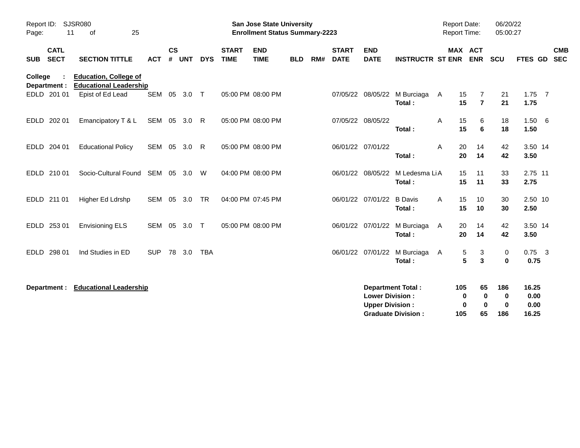| Report ID:<br>11<br>Page:                | <b>SJSR080</b><br>25<br>0f                                    |              |                |              |            |                             | <b>San Jose State University</b><br><b>Enrollment Status Summary-2223</b> |            |     |                             |                                                  |                                                       | <b>Report Date:</b><br>Report Time: |                                     | 06/20/22<br>05:00:27                  |                                |                           |
|------------------------------------------|---------------------------------------------------------------|--------------|----------------|--------------|------------|-----------------------------|---------------------------------------------------------------------------|------------|-----|-----------------------------|--------------------------------------------------|-------------------------------------------------------|-------------------------------------|-------------------------------------|---------------------------------------|--------------------------------|---------------------------|
| <b>CATL</b><br><b>SECT</b><br><b>SUB</b> | <b>SECTION TITTLE</b>                                         | <b>ACT</b>   | <b>CS</b><br># | <b>UNT</b>   | <b>DYS</b> | <b>START</b><br><b>TIME</b> | <b>END</b><br><b>TIME</b>                                                 | <b>BLD</b> | RM# | <b>START</b><br><b>DATE</b> | <b>END</b><br><b>DATE</b>                        | <b>INSTRUCTR ST ENR</b>                               |                                     | <b>MAX ACT</b><br><b>ENR</b>        | <b>SCU</b>                            |                                | <b>CMB</b><br>FTES GD SEC |
| College<br>Department :                  | <b>Education, College of</b><br><b>Educational Leadership</b> |              |                |              |            |                             |                                                                           |            |     |                             |                                                  |                                                       |                                     |                                     |                                       |                                |                           |
| EDLD 201 01                              | Epist of Ed Lead                                              |              |                | SEM 05 3.0 T |            |                             | 05:00 PM 08:00 PM                                                         |            |     |                             |                                                  | 07/05/22 08/05/22 M Burciaga<br>Total:                | A                                   | 15<br>7<br>$\overline{7}$<br>15     | 21<br>21                              | $1.75$ 7<br>1.75               |                           |
| EDLD 202 01                              | Emancipatory T & L                                            | SEM 05 3.0 R |                |              |            |                             | 05:00 PM 08:00 PM                                                         |            |     |                             | 07/05/22 08/05/22                                | Total:                                                | Α                                   | 15<br>6<br>15<br>6                  | 18<br>18                              | 1.50 6<br>1.50                 |                           |
| EDLD 204 01                              | <b>Educational Policy</b>                                     | SEM 05 3.0   |                |              | R.         |                             | 05:00 PM 08:00 PM                                                         |            |     |                             | 06/01/22 07/01/22                                | Total:                                                | A                                   | 20<br>14<br>20<br>14                | 42<br>42                              | 3.50 14<br>3.50                |                           |
| EDLD 210 01                              | Socio-Cultural Found SEM 05 3.0                               |              |                |              | W          |                             | 04:00 PM 08:00 PM                                                         |            |     |                             | 06/01/22 08/05/22                                | M Ledesma LiA<br>Total:                               |                                     | 15<br>11<br>11<br>15                | 33<br>33                              | 2.75 11<br>2.75                |                           |
| EDLD 211 01                              | Higher Ed Ldrshp                                              | SEM 05 3.0   |                |              | <b>TR</b>  |                             | 04:00 PM 07:45 PM                                                         |            |     |                             | 06/01/22 07/01/22                                | <b>B</b> Davis<br>Total:                              | A                                   | 15<br>10<br>15<br>10                | 30<br>30                              | 2.50 10<br>2.50                |                           |
| EDLD 253 01                              | <b>Envisioning ELS</b>                                        | SEM 05       |                | 3.0 T        |            |                             | 05:00 PM 08:00 PM                                                         |            |     |                             |                                                  | 06/01/22 07/01/22 M Burciaga<br>Total:                | A                                   | 20<br>14<br>20<br>14                | 42<br>42                              | 3.50 14<br>3.50                |                           |
| EDLD 298 01                              | Ind Studies in ED                                             | <b>SUP</b>   |                | 78 3.0       | <b>TBA</b> |                             |                                                                           |            |     |                             |                                                  | 06/01/22 07/01/22 M Burciaga<br>Total:                | A                                   | 3<br>5<br>5<br>3                    | 0<br>$\mathbf 0$                      | $0.75$ 3<br>0.75               |                           |
| Department :                             | <b>Educational Leadership</b>                                 |              |                |              |            |                             |                                                                           |            |     |                             | <b>Lower Division:</b><br><b>Upper Division:</b> | <b>Department Total:</b><br><b>Graduate Division:</b> | 105<br>105                          | 65<br>0<br>0<br>$\bf{0}$<br>0<br>65 | 186<br>$\mathbf 0$<br>$\bf{0}$<br>186 | 16.25<br>0.00<br>0.00<br>16.25 |                           |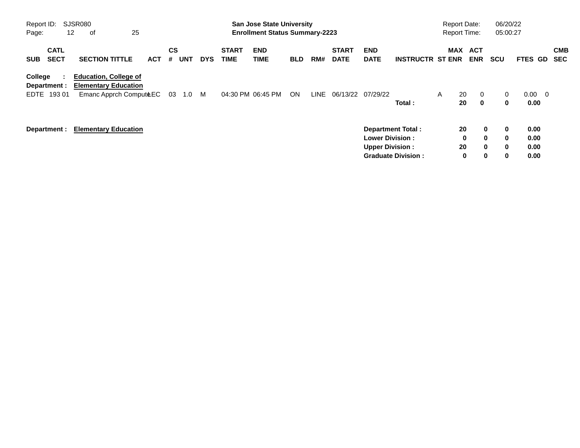| Report ID:<br>Page:                      | SJSR080<br>25<br>12<br>оf                                                             |            |                       |            |                             | <b>San Jose State University</b><br><b>Enrollment Status Summary-2223</b> |            |             |                             |                                                  |                                                       | <b>Report Date:</b><br><b>Report Time:</b> |                                        | 06/20/22<br>05:00:27                                          |                              |                          |                          |
|------------------------------------------|---------------------------------------------------------------------------------------|------------|-----------------------|------------|-----------------------------|---------------------------------------------------------------------------|------------|-------------|-----------------------------|--------------------------------------------------|-------------------------------------------------------|--------------------------------------------|----------------------------------------|---------------------------------------------------------------|------------------------------|--------------------------|--------------------------|
| <b>CATL</b><br><b>SECT</b><br><b>SUB</b> | <b>SECTION TITTLE</b>                                                                 | <b>ACT</b> | CS<br><b>UNT</b><br># | <b>DYS</b> | <b>START</b><br><b>TIME</b> | <b>END</b><br><b>TIME</b>                                                 | <b>BLD</b> | RM#         | <b>START</b><br><b>DATE</b> | <b>END</b><br><b>DATE</b>                        | <b>INSTRUCTR ST ENR</b>                               | MAX                                        | ACT<br><b>ENR</b>                      | <b>SCU</b>                                                    | FTES GD                      |                          | <b>CMB</b><br><b>SEC</b> |
| College<br>Department :<br>19301<br>EDTE | <b>Education, College of</b><br><b>Elementary Education</b><br>Emanc Apprch ComputeEC |            | 03<br>1.0             | M          |                             | 04:30 PM 06:45 PM                                                         | ON         | <b>LINE</b> | 06/13/22                    | 07/29/22                                         | Total:                                                | $\mathsf{A}$                               | 20<br>$\mathbf 0$<br>$\mathbf 0$<br>20 | 0<br>0                                                        | 0.00<br>0.00                 | $\overline{\phantom{0}}$ |                          |
| Department :                             | <b>Elementary Education</b>                                                           |            |                       |            |                             |                                                                           |            |             |                             | <b>Lower Division:</b><br><b>Upper Division:</b> | <b>Department Total:</b><br><b>Graduate Division:</b> |                                            | 20<br>0<br>20<br>0                     | 0<br>0<br>$\bf{0}$<br>$\bf{0}$<br>$\mathbf{0}$<br>0<br>0<br>0 | 0.00<br>0.00<br>0.00<br>0.00 |                          |                          |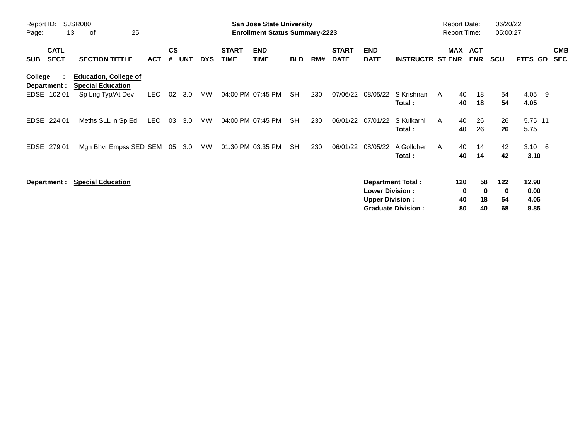| Report ID:<br>Page:                      | SJSR080<br>25<br>13<br>оf                                                     |            |                    |            |            |                             | <b>San Jose State University</b><br><b>Enrollment Status Summary-2223</b> |            |     |                             |                                                  |                                                       |   |                      | <b>Report Date:</b><br><b>Report Time:</b> | 06/20/22<br>05:00:27 |                               |                          |
|------------------------------------------|-------------------------------------------------------------------------------|------------|--------------------|------------|------------|-----------------------------|---------------------------------------------------------------------------|------------|-----|-----------------------------|--------------------------------------------------|-------------------------------------------------------|---|----------------------|--------------------------------------------|----------------------|-------------------------------|--------------------------|
| <b>CATL</b><br><b>SECT</b><br><b>SUB</b> | <b>SECTION TITTLE</b>                                                         | <b>ACT</b> | $\mathsf{cs}$<br># | <b>UNT</b> | <b>DYS</b> | <b>START</b><br><b>TIME</b> | <b>END</b><br><b>TIME</b>                                                 | <b>BLD</b> | RM# | <b>START</b><br><b>DATE</b> | <b>END</b><br><b>DATE</b>                        | <b>INSTRUCTR ST ENR</b>                               |   | <b>MAX</b>           | <b>ACT</b><br><b>ENR</b>                   | <b>SCU</b>           | FTES GD                       | <b>CMB</b><br><b>SEC</b> |
| College<br>Department :<br>EDSE 102 01   | <b>Education, College of</b><br><b>Special Education</b><br>Sp Lng Typ/At Dev | <b>LEC</b> | 02                 | 3.0        | MW         |                             | 04:00 PM 07:45 PM                                                         | <b>SH</b>  | 230 | 07/06/22                    | 08/05/22                                         | S Krishnan<br>Total:                                  | A | 40<br>40             | 18<br>18                                   | 54<br>54             | 4.05 9<br>4.05                |                          |
| EDSE<br>224 01                           | Meths SLL in Sp Ed                                                            | <b>LEC</b> | 03                 | 3.0        | MW         |                             | 04:00 PM 07:45 PM                                                         | <b>SH</b>  | 230 | 06/01/22                    | 07/01/22                                         | S Kulkarni<br>Total:                                  | A | 40<br>40             | 26<br>26                                   | 26<br>26             | 5.75 11<br>5.75               |                          |
| EDSE<br>279 01                           | Mgn Bhvr Empss SED SEM 05 3.0                                                 |            |                    |            | MW         |                             | 01:30 PM 03:35 PM                                                         | SH         | 230 | 06/01/22                    | 08/05/22                                         | A Golloher<br>Total:                                  | A | 40<br>40             | 14<br>14                                   | 42<br>42             | $3.10 \quad 6$<br>3.10        |                          |
| Department :                             | <b>Special Education</b>                                                      |            |                    |            |            |                             |                                                                           |            |     |                             | <b>Lower Division:</b><br><b>Upper Division:</b> | <b>Department Total:</b><br><b>Graduate Division:</b> |   | 120<br>0<br>40<br>80 | 58<br>$\bf{0}$<br>18<br>40                 | 122<br>0<br>54<br>68 | 12.90<br>0.00<br>4.05<br>8.85 |                          |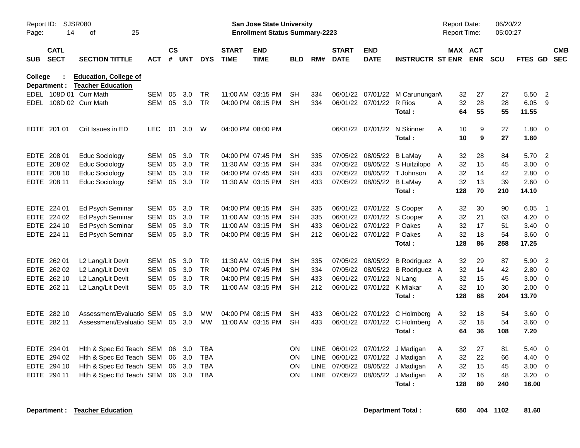| Page:      | <b>SJSR080</b><br>Report ID:<br>25<br>14<br>οf |                              |            |                    |        |            |                             | San Jose State University<br><b>Enrollment Status Summary-2223</b> |            |             |                             |                            |                                 | <b>Report Date:</b><br><b>Report Time:</b> |          |            | 06/20/22<br>05:00:27 |               |                |            |
|------------|------------------------------------------------|------------------------------|------------|--------------------|--------|------------|-----------------------------|--------------------------------------------------------------------|------------|-------------|-----------------------------|----------------------------|---------------------------------|--------------------------------------------|----------|------------|----------------------|---------------|----------------|------------|
| <b>SUB</b> | <b>CATL</b><br><b>SECT</b>                     | <b>SECTION TITTLE</b>        | <b>ACT</b> | $\mathsf{cs}$<br># | UNT    | <b>DYS</b> | <b>START</b><br><b>TIME</b> | <b>END</b><br><b>TIME</b>                                          | <b>BLD</b> | RM#         | <b>START</b><br><b>DATE</b> | <b>END</b><br><b>DATE</b>  | <b>INSTRUCTR ST ENR</b>         |                                            | MAX ACT  | <b>ENR</b> | <b>SCU</b>           | FTES GD SEC   |                | <b>CMB</b> |
| College    |                                                | <b>Education, College of</b> |            |                    |        |            |                             |                                                                    |            |             |                             |                            |                                 |                                            |          |            |                      |               |                |            |
|            | Department :                                   | <b>Teacher Education</b>     |            |                    |        |            |                             |                                                                    |            |             |                             |                            |                                 |                                            |          |            |                      |               |                |            |
|            |                                                | EDEL 108D 01 Curr Math       | <b>SEM</b> | 05                 | 3.0    | <b>TR</b>  |                             | 11:00 AM 03:15 PM                                                  | SH         | 334         |                             |                            | 06/01/22 07/01/22 M CarunungarA |                                            | 32       | 27         | 27                   | 5.50          | $\overline{2}$ |            |
|            |                                                | EDEL 108D 02 Curr Math       | <b>SEM</b> | 05                 | 3.0    | <b>TR</b>  |                             | 04:00 PM 08:15 PM                                                  | SH         | 334         |                             | 06/01/22 07/01/22 R Rios   | Total:                          | A                                          | 32<br>64 | 28<br>55   | 28<br>55             | 6.05<br>11.55 | 9              |            |
|            | EDTE 201 01                                    | Crit Issues in ED            | <b>LEC</b> | 01                 | 3.0    | W          |                             | 04:00 PM 08:00 PM                                                  |            |             |                             | 06/01/22 07/01/22          | N Skinner                       | A                                          | 10       | 9          | 27                   | 1.80          | $\overline{0}$ |            |
|            |                                                |                              |            |                    |        |            |                             |                                                                    |            |             |                             |                            | Total:                          |                                            | 10       | 9          | 27                   | 1.80          |                |            |
|            | EDTE 208 01                                    | Educ Sociology               | SEM        | 05                 | 3.0    | <b>TR</b>  |                             | 04:00 PM 07:45 PM                                                  | SН         | 335         |                             | 07/05/22 08/05/22          | B LaMay                         | A                                          | 32       | 28         | 84                   | 5.70          | $\overline{2}$ |            |
|            | EDTE 208 02                                    | <b>Educ Sociology</b>        | <b>SEM</b> | 05                 | 3.0    | <b>TR</b>  |                             | 11:30 AM 03:15 PM                                                  | SH         | 334         |                             |                            | 07/05/22 08/05/22 S Huitzilopo  | A                                          | 32       | 15         | 45                   | 3.00          | 0              |            |
|            | EDTE 208 10                                    | <b>Educ Sociology</b>        | <b>SEM</b> | 05                 | 3.0    | <b>TR</b>  |                             | 04:00 PM 07:45 PM                                                  | SH         | 433         |                             | 07/05/22 08/05/22          | T Johnson                       | A                                          | 32       | 14         | 42                   | 2.80          | $\mathbf 0$    |            |
|            | EDTE 208 11                                    | <b>Educ Sociology</b>        | <b>SEM</b> | 05                 | 3.0    | <b>TR</b>  |                             | 11:30 AM 03:15 PM                                                  | <b>SH</b>  | 433         |                             | 07/05/22 08/05/22          | <b>B LaMay</b>                  | A                                          | 32       | 13         | 39                   | 2.60          | - 0            |            |
|            |                                                |                              |            |                    |        |            |                             |                                                                    |            |             |                             |                            | Total:                          |                                            | 128      | 70         | 210                  | 14.10         |                |            |
|            | EDTE 224 01                                    | Ed Psych Seminar             | <b>SEM</b> | 05                 | 3.0    | <b>TR</b>  |                             | 04:00 PM 08:15 PM                                                  | <b>SH</b>  | 335         |                             |                            | 06/01/22 07/01/22 S Cooper      | A                                          | 32       | 30         | 90                   | 6.05          | - 1            |            |
|            | EDTE 224 02                                    | Ed Psych Seminar             | <b>SEM</b> | 05                 | 3.0    | <b>TR</b>  |                             | 11:00 AM 03:15 PM                                                  | <b>SH</b>  | 335         |                             |                            | 06/01/22 07/01/22 S Cooper      | A                                          | 32       | 21         | 63                   | 4.20          | - 0            |            |
|            | EDTE 224 10                                    | Ed Psych Seminar             | <b>SEM</b> | 05                 | 3.0    | <b>TR</b>  |                             | 11:00 AM 03:15 PM                                                  | <b>SH</b>  | 433         |                             | 06/01/22 07/01/22 P Oakes  |                                 | A                                          | 32       | 17         | 51                   | 3.40          | 0              |            |
|            | EDTE 224 11                                    | Ed Psych Seminar             | SEM        | 05                 | 3.0    | <b>TR</b>  |                             | 04:00 PM 08:15 PM                                                  | SH         | 212         |                             | 06/01/22 07/01/22 P Oakes  |                                 | A                                          | 32       | 18         | 54                   | 3.60          | $\overline{0}$ |            |
|            |                                                |                              |            |                    |        |            |                             |                                                                    |            |             |                             |                            | Total:                          |                                            | 128      | 86         | 258                  | 17.25         |                |            |
|            | EDTE 262 01                                    | L2 Lang/Lit Devlt            | SEM        | 05                 | 3.0    | <b>TR</b>  |                             | 11:30 AM 03:15 PM                                                  | SH         | 335         |                             |                            | 07/05/22 08/05/22 B Rodriguez A |                                            | 32       | 29         | 87                   | 5.90          | $\overline{2}$ |            |
|            | EDTE 262 02                                    | L2 Lang/Lit Devlt            | <b>SEM</b> | 05                 | 3.0    | <b>TR</b>  |                             | 04:00 PM 07:45 PM                                                  | SН         | 334         |                             |                            | 07/05/22 08/05/22 B Rodriguez A |                                            | 32       | 14         | 42                   | 2.80          | 0              |            |
|            | EDTE 262 10                                    | L2 Lang/Lit Devlt            | <b>SEM</b> | 05                 | 3.0    | <b>TR</b>  |                             | 04:00 PM 08:15 PM                                                  | SH         | 433         |                             | 06/01/22 07/01/22 N Lang   |                                 | A                                          | 32       | 15         | 45                   | 3.00          | $\overline{0}$ |            |
|            | EDTE 262 11                                    | L2 Lang/Lit Devlt            | <b>SEM</b> | 05                 | 3.0    | <b>TR</b>  |                             | 11:00 AM 03:15 PM                                                  | SH         | 212         |                             | 06/01/22 07/01/22 K Mlakar |                                 | A                                          | 32       | 10         | 30                   | 2.00          | $\overline{0}$ |            |
|            |                                                |                              |            |                    |        |            |                             |                                                                    |            |             |                             |                            | Total:                          |                                            | 128      | 68         | 204                  | 13.70         |                |            |
|            | EDTE 282 10                                    | Assessment/Evaluatio SEM     |            | 05                 | 3.0    | <b>MW</b>  |                             | 04:00 PM 08:15 PM                                                  | SH         | 433         |                             |                            | 06/01/22 07/01/22 C Holmberg A  |                                            | 32       | 18         | 54                   | 3.60          | $\overline{0}$ |            |
|            | EDTE 282 11                                    | Assessment/Evaluatio SEM     |            |                    | 05 3.0 | <b>MW</b>  |                             | 11:00 AM 03:15 PM                                                  | <b>SH</b>  | 433         |                             |                            | 06/01/22 07/01/22 C Holmberg A  |                                            | 32       | 18         | 54                   | 3.60          | $\overline{0}$ |            |
|            |                                                |                              |            |                    |        |            |                             |                                                                    |            |             |                             |                            | Total:                          |                                            | 64       | 36         | 108                  | 7.20          |                |            |
|            | EDTE 294 01                                    | Hith & Spec Ed Teach SEM     |            |                    | 06 3.0 | <b>TBA</b> |                             |                                                                    | ON         | LINE        |                             |                            | 06/01/22 07/01/22 J Madigan     | A                                          | 32       | 27         | 81                   | 5.40          | $\mathbf 0$    |            |
|            | EDTE 294 02                                    | Hith & Spec Ed Teach SEM     |            | 06                 | 3.0    | <b>TBA</b> |                             |                                                                    | <b>ON</b>  | <b>LINE</b> |                             | 06/01/22 07/01/22          | J Madigan                       | A                                          | 32       | 22         | 66                   | 4.40          | $\mathbf{0}$   |            |
|            | EDTE 294 10                                    | Hith & Spec Ed Teach SEM 06  |            |                    | 3.0    | <b>TBA</b> |                             |                                                                    | <b>ON</b>  | <b>LINE</b> |                             |                            | 07/05/22 08/05/22 J Madigan     | A                                          | 32       | 15         | 45                   | 3.00          | 0              |            |
| EDTE       | 294 11                                         | Hith & Spec Ed Teach SEM     |            | 06                 | 3.0    | TBA        |                             |                                                                    | <b>ON</b>  | LINE        |                             | 07/05/22 08/05/22          | J Madigan                       | A                                          | 32       | 16         | 48                   | 3.20          | 0              |            |
|            |                                                |                              |            |                    |        |            |                             |                                                                    |            |             |                             |                            | Total:                          |                                            | 128      | 80         | 240                  | 16.00         |                |            |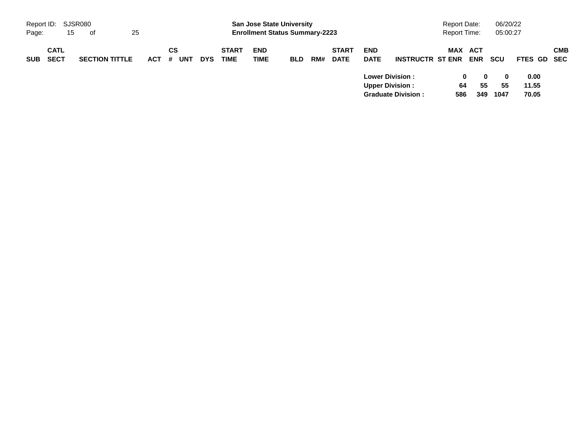| Report ID: SJSR080 |                            |    |                       |    |            |         |     |            |                             | <b>San Jose State University</b>      |            |     |                             |                                                  |                           | <b>Report Date:</b> |                     | 06/20/22               |                        |            |
|--------------------|----------------------------|----|-----------------------|----|------------|---------|-----|------------|-----------------------------|---------------------------------------|------------|-----|-----------------------------|--------------------------------------------------|---------------------------|---------------------|---------------------|------------------------|------------------------|------------|
| Page:              |                            | 15 | - of                  | 25 |            |         |     |            |                             | <b>Enrollment Status Summary-2223</b> |            |     |                             |                                                  |                           | <b>Report Time:</b> |                     | 05:00:27               |                        |            |
| <b>SUB</b>         | <b>CATL</b><br><b>SECT</b> |    | <b>SECTION TITTLE</b> |    | <b>ACT</b> | CS<br># | UNT | <b>DYS</b> | <b>START</b><br><b>TIME</b> | <b>END</b><br><b>TIME</b>             | <b>BLD</b> | RM# | <b>START</b><br><b>DATE</b> | <b>END</b><br><b>DATE</b>                        | <b>INSTRUCTR ST ENR</b>   | MAX                 | ACT<br><b>ENR</b>   | scu                    | FTES GD SEC            | <b>CMB</b> |
|                    |                            |    |                       |    |            |         |     |            |                             |                                       |            |     |                             | <b>Lower Division:</b><br><b>Upper Division:</b> | <b>Graduate Division:</b> | 64<br>586           | 0<br>0<br>55<br>349 | $\bf{0}$<br>55<br>1047 | 0.00<br>11.55<br>70.05 |            |